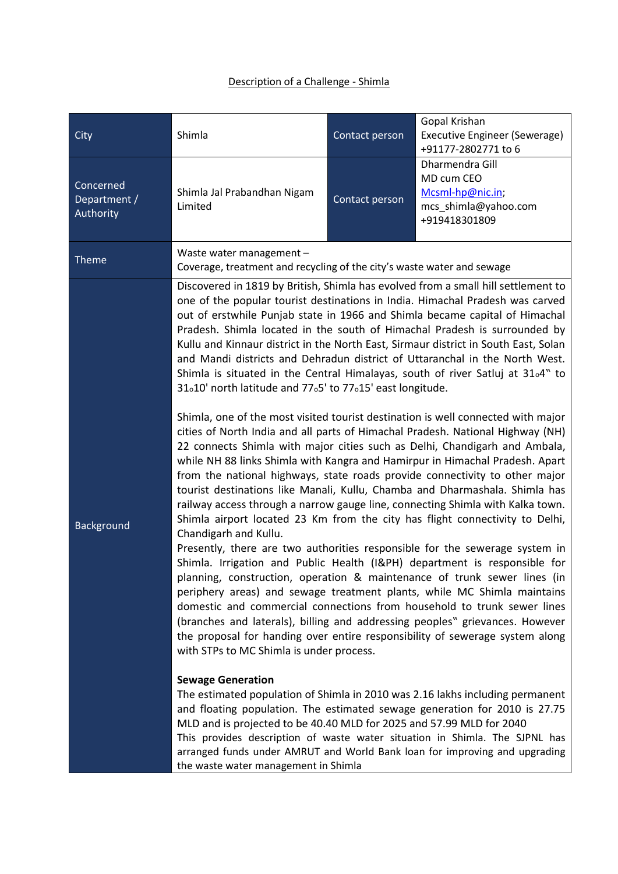## Description of a Challenge - Shimla

| City                                   | Shimla                                                                                                                                                                                                                                                 | Contact person                                                                                                                                                                                                                                                                                                                                                                                                                                                                                                                                                                                                                                                                                                                                                                                                                                                                                                                                                                                                                                                                                                                                                                                                                                                                                                                                                                                                                                                                                                                                                                                                                                                                                                                                                                                                                                                                                                                                                                                                                                                                                                                                                                                                  | Gopal Krishan<br>Executive Engineer (Sewerage)<br>+91177-2802771 to 6                      |  |
|----------------------------------------|--------------------------------------------------------------------------------------------------------------------------------------------------------------------------------------------------------------------------------------------------------|-----------------------------------------------------------------------------------------------------------------------------------------------------------------------------------------------------------------------------------------------------------------------------------------------------------------------------------------------------------------------------------------------------------------------------------------------------------------------------------------------------------------------------------------------------------------------------------------------------------------------------------------------------------------------------------------------------------------------------------------------------------------------------------------------------------------------------------------------------------------------------------------------------------------------------------------------------------------------------------------------------------------------------------------------------------------------------------------------------------------------------------------------------------------------------------------------------------------------------------------------------------------------------------------------------------------------------------------------------------------------------------------------------------------------------------------------------------------------------------------------------------------------------------------------------------------------------------------------------------------------------------------------------------------------------------------------------------------------------------------------------------------------------------------------------------------------------------------------------------------------------------------------------------------------------------------------------------------------------------------------------------------------------------------------------------------------------------------------------------------------------------------------------------------------------------------------------------------|--------------------------------------------------------------------------------------------|--|
| Concerned<br>Department /<br>Authority | Shimla Jal Prabandhan Nigam<br>Limited                                                                                                                                                                                                                 | Contact person                                                                                                                                                                                                                                                                                                                                                                                                                                                                                                                                                                                                                                                                                                                                                                                                                                                                                                                                                                                                                                                                                                                                                                                                                                                                                                                                                                                                                                                                                                                                                                                                                                                                                                                                                                                                                                                                                                                                                                                                                                                                                                                                                                                                  | Dharmendra Gill<br>MD cum CEO<br>Mcsml-hp@nic.in;<br>mcs_shimla@yahoo.com<br>+919418301809 |  |
| Theme                                  | Waste water management -<br>Coverage, treatment and recycling of the city's waste water and sewage                                                                                                                                                     |                                                                                                                                                                                                                                                                                                                                                                                                                                                                                                                                                                                                                                                                                                                                                                                                                                                                                                                                                                                                                                                                                                                                                                                                                                                                                                                                                                                                                                                                                                                                                                                                                                                                                                                                                                                                                                                                                                                                                                                                                                                                                                                                                                                                                 |                                                                                            |  |
| <b>Background</b>                      | Chandigarh and Kullu.<br><b>Sewage Generation</b><br>This provides description of waste water situation in Shimla. The SJPNL has<br>arranged funds under AMRUT and World Bank loan for improving and upgrading<br>the waste water management in Shimla | Discovered in 1819 by British, Shimla has evolved from a small hill settlement to<br>one of the popular tourist destinations in India. Himachal Pradesh was carved<br>out of erstwhile Punjab state in 1966 and Shimla became capital of Himachal<br>Pradesh. Shimla located in the south of Himachal Pradesh is surrounded by<br>Kullu and Kinnaur district in the North East, Sirmaur district in South East, Solan<br>and Mandi districts and Dehradun district of Uttaranchal in the North West.<br>Shimla is situated in the Central Himalayas, south of river Satluj at 31.4" to<br>31 <sub>0</sub> 10' north latitude and 77 <sub>0</sub> 5' to 77 <sub>0</sub> 15' east longitude.<br>Shimla, one of the most visited tourist destination is well connected with major<br>cities of North India and all parts of Himachal Pradesh. National Highway (NH)<br>22 connects Shimla with major cities such as Delhi, Chandigarh and Ambala,<br>while NH 88 links Shimla with Kangra and Hamirpur in Himachal Pradesh. Apart<br>from the national highways, state roads provide connectivity to other major<br>tourist destinations like Manali, Kullu, Chamba and Dharmashala. Shimla has<br>railway access through a narrow gauge line, connecting Shimla with Kalka town.<br>Shimla airport located 23 Km from the city has flight connectivity to Delhi,<br>Presently, there are two authorities responsible for the sewerage system in<br>Shimla. Irrigation and Public Health (I&PH) department is responsible for<br>planning, construction, operation & maintenance of trunk sewer lines (in<br>periphery areas) and sewage treatment plants, while MC Shimla maintains<br>domestic and commercial connections from household to trunk sewer lines<br>(branches and laterals), billing and addressing peoples" grievances. However<br>the proposal for handing over entire responsibility of sewerage system along<br>with STPs to MC Shimla is under process.<br>The estimated population of Shimla in 2010 was 2.16 lakhs including permanent<br>and floating population. The estimated sewage generation for 2010 is 27.75<br>MLD and is projected to be 40.40 MLD for 2025 and 57.99 MLD for 2040 |                                                                                            |  |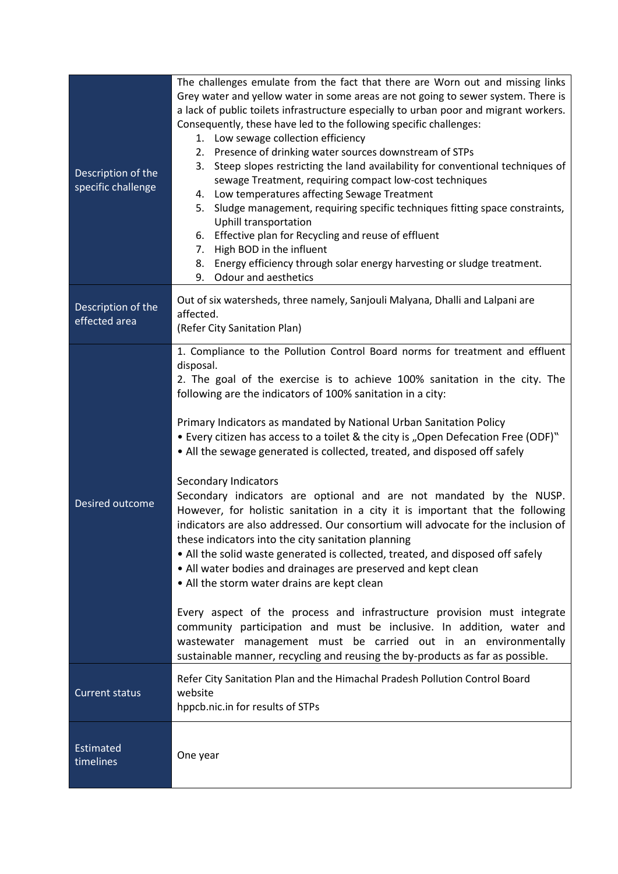| Description of the<br>specific challenge | The challenges emulate from the fact that there are Worn out and missing links<br>Grey water and yellow water in some areas are not going to sewer system. There is<br>a lack of public toilets infrastructure especially to urban poor and migrant workers.<br>Consequently, these have led to the following specific challenges:<br>1. Low sewage collection efficiency<br>2. Presence of drinking water sources downstream of STPs<br>Steep slopes restricting the land availability for conventional techniques of<br>3.<br>sewage Treatment, requiring compact low-cost techniques<br>Low temperatures affecting Sewage Treatment<br>4.<br>Sludge management, requiring specific techniques fitting space constraints,<br>5.<br><b>Uphill transportation</b><br>6. Effective plan for Recycling and reuse of effluent<br>High BOD in the influent<br>7.<br>Energy efficiency through solar energy harvesting or sludge treatment.<br>8.<br>9. Odour and aesthetics                                                                                                                                                                                                                                                                                                                                                   |  |  |
|------------------------------------------|---------------------------------------------------------------------------------------------------------------------------------------------------------------------------------------------------------------------------------------------------------------------------------------------------------------------------------------------------------------------------------------------------------------------------------------------------------------------------------------------------------------------------------------------------------------------------------------------------------------------------------------------------------------------------------------------------------------------------------------------------------------------------------------------------------------------------------------------------------------------------------------------------------------------------------------------------------------------------------------------------------------------------------------------------------------------------------------------------------------------------------------------------------------------------------------------------------------------------------------------------------------------------------------------------------------------------|--|--|
| Description of the<br>effected area      | Out of six watersheds, three namely, Sanjouli Malyana, Dhalli and Lalpani are<br>affected.<br>(Refer City Sanitation Plan)                                                                                                                                                                                                                                                                                                                                                                                                                                                                                                                                                                                                                                                                                                                                                                                                                                                                                                                                                                                                                                                                                                                                                                                                |  |  |
| Desired outcome                          | 1. Compliance to the Pollution Control Board norms for treatment and effluent<br>disposal.<br>2. The goal of the exercise is to achieve 100% sanitation in the city. The<br>following are the indicators of 100% sanitation in a city:<br>Primary Indicators as mandated by National Urban Sanitation Policy<br>• Every citizen has access to a toilet & the city is "Open Defecation Free (ODF)"<br>• All the sewage generated is collected, treated, and disposed off safely<br><b>Secondary Indicators</b><br>Secondary indicators are optional and are not mandated by the NUSP.<br>However, for holistic sanitation in a city it is important that the following<br>indicators are also addressed. Our consortium will advocate for the inclusion of<br>these indicators into the city sanitation planning<br>• All the solid waste generated is collected, treated, and disposed off safely<br>• All water bodies and drainages are preserved and kept clean<br>• All the storm water drains are kept clean<br>Every aspect of the process and infrastructure provision must integrate<br>community participation and must be inclusive. In addition, water and<br>wastewater management must be carried out in an environmentally<br>sustainable manner, recycling and reusing the by-products as far as possible. |  |  |
| <b>Current status</b>                    | Refer City Sanitation Plan and the Himachal Pradesh Pollution Control Board<br>website<br>hppcb.nic.in for results of STPs                                                                                                                                                                                                                                                                                                                                                                                                                                                                                                                                                                                                                                                                                                                                                                                                                                                                                                                                                                                                                                                                                                                                                                                                |  |  |
| Estimated<br>timelines                   | One year                                                                                                                                                                                                                                                                                                                                                                                                                                                                                                                                                                                                                                                                                                                                                                                                                                                                                                                                                                                                                                                                                                                                                                                                                                                                                                                  |  |  |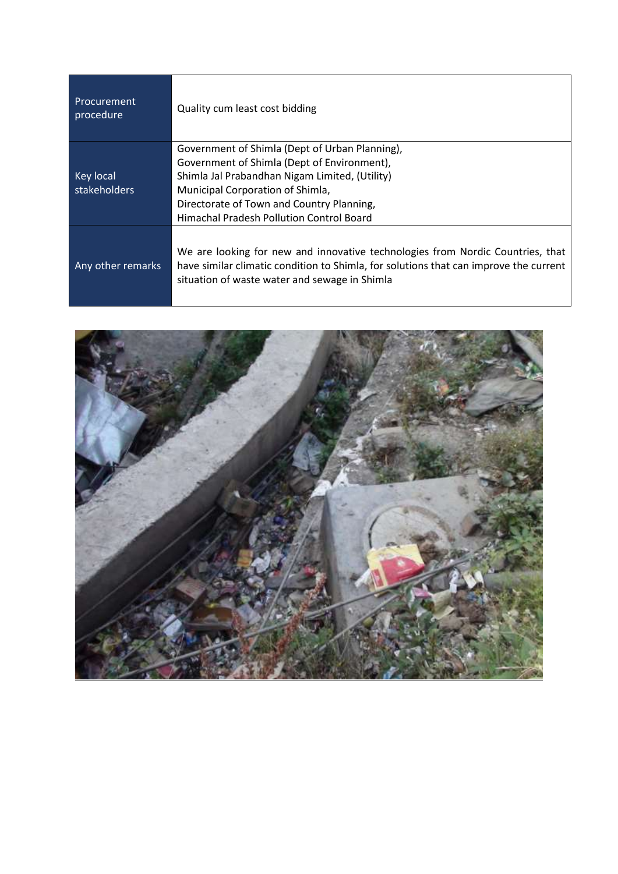| Procurement<br>procedure         | Quality cum least cost bidding                                                                                                                                                                                                                                               |  |
|----------------------------------|------------------------------------------------------------------------------------------------------------------------------------------------------------------------------------------------------------------------------------------------------------------------------|--|
| <b>Key local</b><br>stakeholders | Government of Shimla (Dept of Urban Planning),<br>Government of Shimla (Dept of Environment),<br>Shimla Jal Prabandhan Nigam Limited, (Utility)<br>Municipal Corporation of Shimla,<br>Directorate of Town and Country Planning,<br>Himachal Pradesh Pollution Control Board |  |
| Any other remarks                | We are looking for new and innovative technologies from Nordic Countries, that<br>have similar climatic condition to Shimla, for solutions that can improve the current<br>situation of waste water and sewage in Shimla                                                     |  |

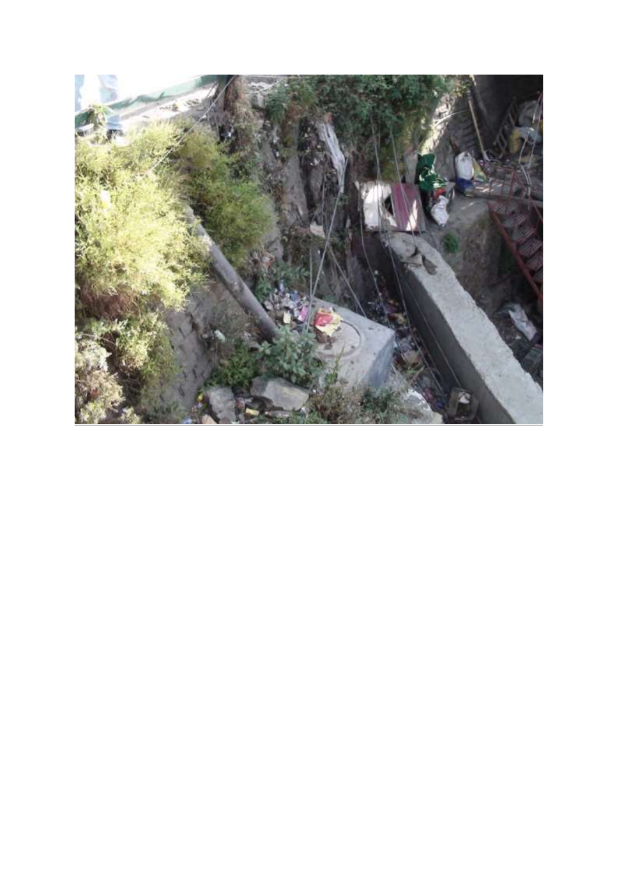